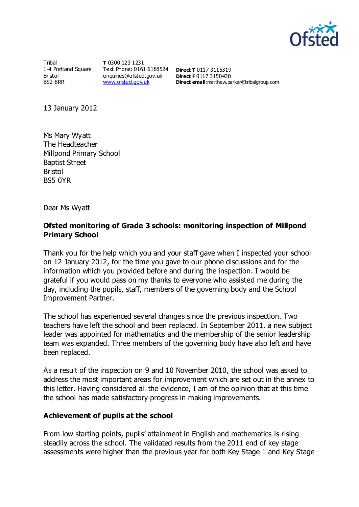

**Tribal** 1-4 Portland Square Bristol BS2 8RR

**T** 0300 123 1231 Text Phone: 0161 6188524 **Direct T** 0117 3115319 enquiries@ofsted.gov.uk **Direct F** 0117 3150430 [www.ofsted.gov.uk](http://www.ofsted.gov.uk/)

**Direct email**:matthew.parker@tribalgroup.com

13 January 2012

Ms Mary Wyatt The Headteacher Millpond Primary School Baptist Street Bristol BS5 0YR

Dear Ms Wyatt

## **Ofsted monitoring of Grade 3 schools: monitoring inspection of Millpond Primary School**

Thank you for the help which you and your staff gave when I inspected your school on 12 January 2012, for the time you gave to our phone discussions and for the information which you provided before and during the inspection. I would be grateful if you would pass on my thanks to everyone who assisted me during the day, including the pupils, staff, members of the governing body and the School Improvement Partner.

The school has experienced several changes since the previous inspection. Two teachers have left the school and been replaced. In September 2011, a new subject leader was appointed for mathematics and the membership of the senior leadership team was expanded. Three members of the governing body have also left and have been replaced.

As a result of the inspection on 9 and 10 November 2010, the school was asked to address the most important areas for improvement which are set out in the annex to this letter. Having considered all the evidence, I am of the opinion that at this time the school has made satisfactory progress in making improvements.

#### **Achievement of pupils at the school**

From low starting points, pupils' attainment in English and mathematics is rising steadily across the school. The validated results from the 2011 end of key stage assessments were higher than the previous year for both Key Stage 1 and Key Stage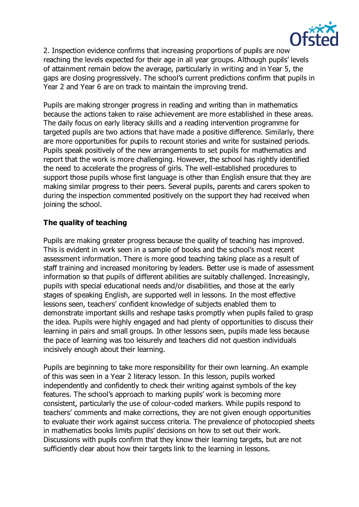

2. Inspection evidence confirms that increasing proportions of pupils are now reaching the levels expected for their age in all year groups. Although pupils' levels of attainment remain below the average, particularly in writing and in Year 5, the gaps are closing progressively. The school's current predictions confirm that pupils in Year 2 and Year 6 are on track to maintain the improving trend.

Pupils are making stronger progress in reading and writing than in mathematics because the actions taken to raise achievement are more established in these areas. The daily focus on early literacy skills and a reading intervention programme for targeted pupils are two actions that have made a positive difference. Similarly, there are more opportunities for pupils to recount stories and write for sustained periods. Pupils speak positively of the new arrangements to set pupils for mathematics and report that the work is more challenging. However, the school has rightly identified the need to accelerate the progress of girls. The well-established procedures to support those pupils whose first language is other than English ensure that they are making similar progress to their peers. Several pupils, parents and carers spoken to during the inspection commented positively on the support they had received when joining the school.

# **The quality of teaching**

Pupils are making greater progress because the quality of teaching has improved. This is evident in work seen in a sample of books and the school's most recent assessment information. There is more good teaching taking place as a result of staff training and increased monitoring by leaders. Better use is made of assessment information so that pupils of different abilities are suitably challenged. Increasingly, pupils with special educational needs and/or disabilities, and those at the early stages of speaking English, are supported well in lessons. In the most effective lessons seen, teachers' confident knowledge of subjects enabled them to demonstrate important skills and reshape tasks promptly when pupils failed to grasp the idea. Pupils were highly engaged and had plenty of opportunities to discuss their learning in pairs and small groups. In other lessons seen, pupils made less because the pace of learning was too leisurely and teachers did not question individuals incisively enough about their learning.

Pupils are beginning to take more responsibility for their own learning. An example of this was seen in a Year 2 literacy lesson. In this lesson, pupils worked independently and confidently to check their writing against symbols of the key features. The school's approach to marking pupils' work is becoming more consistent, particularly the use of colour-coded markers. While pupils respond to teachers' comments and make corrections, they are not given enough opportunities to evaluate their work against success criteria. The prevalence of photocopied sheets in mathematics books limits pupils' decisions on how to set out their work. Discussions with pupils confirm that they know their learning targets, but are not sufficiently clear about how their targets link to the learning in lessons.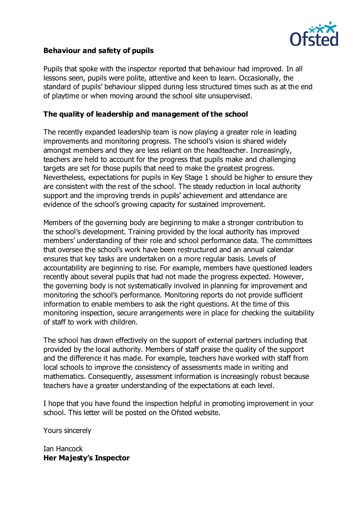

#### **Behaviour and safety of pupils**

Pupils that spoke with the inspector reported that behaviour had improved. In all lessons seen, pupils were polite, attentive and keen to learn. Occasionally, the standard of pupils' behaviour slipped during less structured times such as at the end of playtime or when moving around the school site unsupervised.

#### **The quality of leadership and management of the school**

The recently expanded leadership team is now playing a greater role in leading improvements and monitoring progress. The school's vision is shared widely amongst members and they are less reliant on the headteacher. Increasingly, teachers are held to account for the progress that pupils make and challenging targets are set for those pupils that need to make the greatest progress. Nevertheless, expectations for pupils in Key Stage 1 should be higher to ensure they are consistent with the rest of the school. The steady reduction in local authority support and the improving trends in pupils' achievement and attendance are evidence of the school's growing capacity for sustained improvement.

Members of the governing body are beginning to make a stronger contribution to the school's development. Training provided by the local authority has improved members' understanding of their role and school performance data. The committees that oversee the school's work have been restructured and an annual calendar ensures that key tasks are undertaken on a more regular basis. Levels of accountability are beginning to rise. For example, members have questioned leaders recently about several pupils that had not made the progress expected. However, the governing body is not systematically involved in planning for improvement and monitoring the school's performance. Monitoring reports do not provide sufficient information to enable members to ask the right questions. At the time of this monitoring inspection, secure arrangements were in place for checking the suitability of staff to work with children.

The school has drawn effectively on the support of external partners including that provided by the local authority. Members of staff praise the quality of the support and the difference it has made. For example, teachers have worked with staff from local schools to improve the consistency of assessments made in writing and mathematics. Consequently, assessment information is increasingly robust because teachers have a greater understanding of the expectations at each level.

I hope that you have found the inspection helpful in promoting improvement in your school. This letter will be posted on the Ofsted website.

Yours sincerely

Ian Hancock **Her Majesty's Inspector**